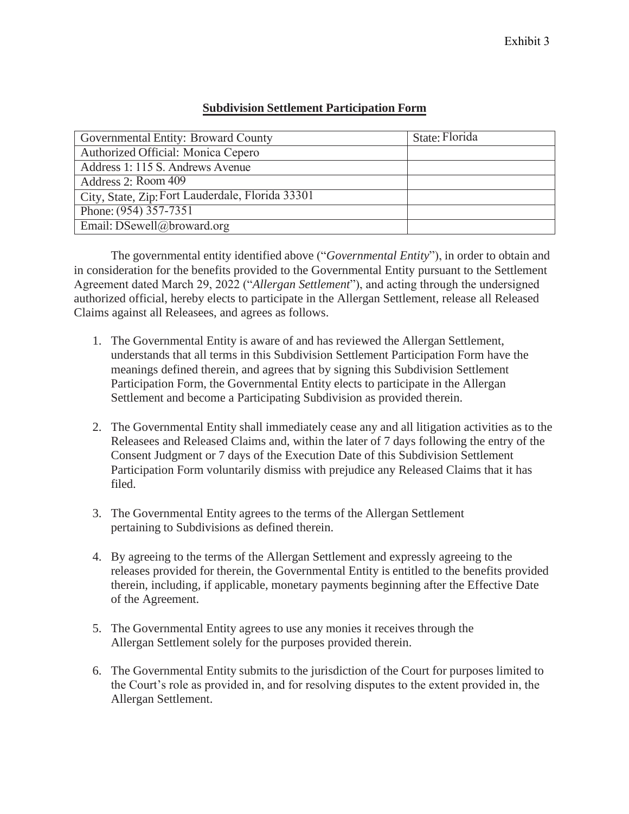| Governmental Entity: Broward County              | State: Florida |
|--------------------------------------------------|----------------|
| Authorized Official: Monica Cepero               |                |
| Address 1: 115 S. Andrews Avenue                 |                |
| Address 2: Room 409                              |                |
| City, State, Zip: Fort Lauderdale, Florida 33301 |                |
| Phone: $(954)$ 357-7351                          |                |
| Email: DSewell@broward.org                       |                |

## **Subdivision Settlement Participation Form**

The governmental entity identified above ("*Governmental Entity*"), in order to obtain and in consideration for the benefits provided to the Governmental Entity pursuant to the Settlement Agreement dated March 29, 2022 ("*Allergan Settlement*"), and acting through the undersigned authorized official, hereby elects to participate in the Allergan Settlement, release all Released Claims against all Releasees, and agrees as follows.

- 1. The Governmental Entity is aware of and has reviewed the Allergan Settlement, understands that all terms in this Subdivision Settlement Participation Form have the meanings defined therein, and agrees that by signing this Subdivision Settlement Participation Form, the Governmental Entity elects to participate in the Allergan Settlement and become a Participating Subdivision as provided therein.
- 2. The Governmental Entity shall immediately cease any and all litigation activities as to the Releasees and Released Claims and, within the later of 7 days following the entry of the Consent Judgment or 7 days of the Execution Date of this Subdivision Settlement Participation Form voluntarily dismiss with prejudice any Released Claims that it has filed.
- 3. The Governmental Entity agrees to the terms of the Allergan Settlement pertaining to Subdivisions as defined therein.
- 4. By agreeing to the terms of the Allergan Settlement and expressly agreeing to the releases provided for therein, the Governmental Entity is entitled to the benefits provided therein, including, if applicable, monetary payments beginning after the Effective Date of the Agreement.
- 5. The Governmental Entity agrees to use any monies it receives through the Allergan Settlement solely for the purposes provided therein.
- 6. The Governmental Entity submits to the jurisdiction of the Court for purposes limited to the Court's role as provided in, and for resolving disputes to the extent provided in, the Allergan Settlement.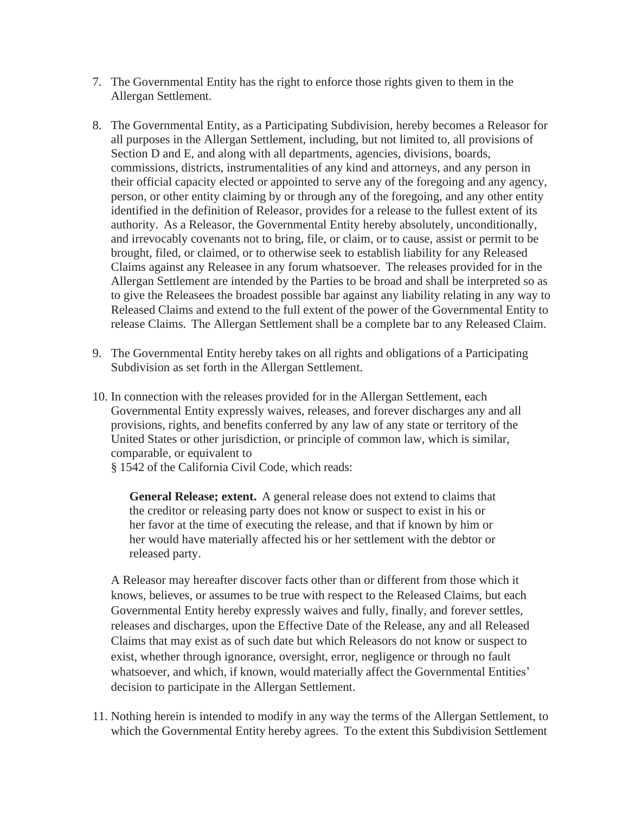- 7. The Governmental Entity has the right to enforce those rights given to them in the Allergan Settlement.
- 8. The Governmental Entity, as a Participating Subdivision, hereby becomes a Releasor for all purposes in the Allergan Settlement, including, but not limited to, all provisions of Section D and E, and along with all departments, agencies, divisions, boards, commissions, districts, instrumentalities of any kind and attorneys, and any person in their official capacity elected or appointed to serve any of the foregoing and any agency, person, or other entity claiming by or through any of the foregoing, and any other entity identified in the definition of Releasor, provides for a release to the fullest extent of its authority. As a Releasor, the Governmental Entity hereby absolutely, unconditionally, and irrevocably covenants not to bring, file, or claim, or to cause, assist or permit to be brought, filed, or claimed, or to otherwise seek to establish liability for any Released Claims against any Releasee in any forum whatsoever. The releases provided for in the Allergan Settlement are intended by the Parties to be broad and shall be interpreted so as to give the Releasees the broadest possible bar against any liability relating in any way to Released Claims and extend to the full extent of the power of the Governmental Entity to release Claims. The Allergan Settlement shall be a complete bar to any Released Claim.
- 9. The Governmental Entity hereby takes on all rights and obligations of a Participating Subdivision as set forth in the Allergan Settlement.
- 10. In connection with the releases provided for in the Allergan Settlement, each Governmental Entity expressly waives, releases, and forever discharges any and all provisions, rights, and benefits conferred by any law of any state or territory of the United States or other jurisdiction, or principle of common law, which is similar, comparable, or equivalent to

§ 1542 of the California Civil Code, which reads:

**General Release; extent.** A general release does not extend to claims that the creditor or releasing party does not know or suspect to exist in his or her favor at the time of executing the release, and that if known by him or her would have materially affected his or her settlement with the debtor or released party.

A Releasor may hereafter discover facts other than or different from those which it knows, believes, or assumes to be true with respect to the Released Claims, but each Governmental Entity hereby expressly waives and fully, finally, and forever settles, releases and discharges, upon the Effective Date of the Release, any and all Released Claims that may exist as of such date but which Releasors do not know or suspect to exist, whether through ignorance, oversight, error, negligence or through no fault whatsoever, and which, if known, would materially affect the Governmental Entities' decision to participate in the Allergan Settlement.

11. Nothing herein is intended to modify in any way the terms of the Allergan Settlement, to which the Governmental Entity hereby agrees. To the extent this Subdivision Settlement